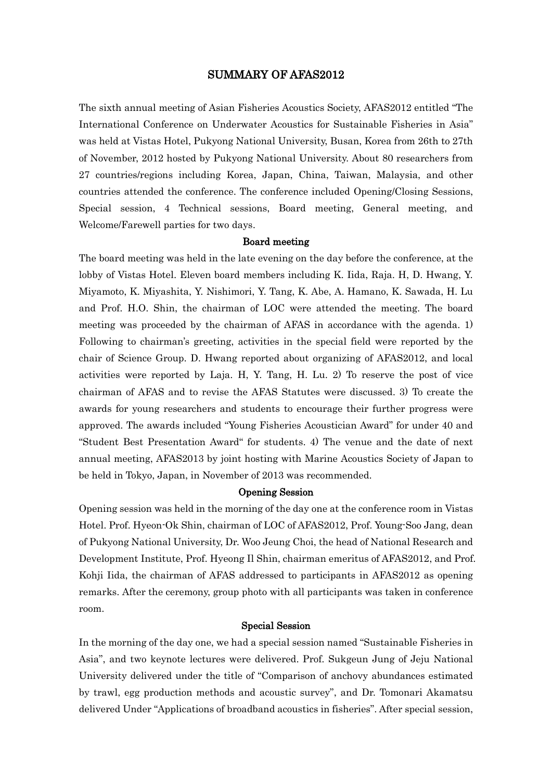# SUMMARY OF AFAS2012

The sixth annual meeting of Asian Fisheries Acoustics Society, AFAS2012 entitled "The International Conference on Underwater Acoustics for Sustainable Fisheries in Asia" was held at Vistas Hotel, Pukyong National University, Busan, Korea from 26th to 27th of November, 2012 hosted by Pukyong National University. About 80 researchers from 27 countries/regions including Korea, Japan, China, Taiwan, Malaysia, and other countries attended the conference. The conference included Opening/Closing Sessions, Special session, 4 Technical sessions, Board meeting, General meeting, and Welcome/Farewell parties for two days.

#### Board meeting

The board meeting was held in the late evening on the day before the conference, at the lobby of Vistas Hotel. Eleven board members including K. Iida, Raja. H, D. Hwang, Y. Miyamoto, K. Miyashita, Y. Nishimori, Y. Tang, K. Abe, A. Hamano, K. Sawada, H. Lu and Prof. H.O. Shin, the chairman of LOC were attended the meeting. The board meeting was proceeded by the chairman of AFAS in accordance with the agenda. 1) Following to chairman's greeting, activities in the special field were reported by the chair of Science Group. D. Hwang reported about organizing of AFAS2012, and local activities were reported by Laja. H, Y. Tang, H. Lu. 2) To reserve the post of vice chairman of AFAS and to revise the AFAS Statutes were discussed. 3) To create the awards for young researchers and students to encourage their further progress were approved. The awards included "Young Fisheries Acoustician Award" for under 40 and "Student Best Presentation Award" for students. 4) The venue and the date of next annual meeting, AFAS2013 by joint hosting with Marine Acoustics Society of Japan to be held in Tokyo, Japan, in November of 2013 was recommended.

# Opening Session

Opening session was held in the morning of the day one at the conference room in Vistas Hotel. Prof. Hyeon-Ok Shin, chairman of LOC of AFAS2012, Prof. Young-Soo Jang, dean of Pukyong National University, Dr. Woo Jeung Choi, the head of National Research and Development Institute, Prof. Hyeong Il Shin, chairman emeritus of AFAS2012, and Prof. Kohji Iida, the chairman of AFAS addressed to participants in AFAS2012 as opening remarks. After the ceremony, group photo with all participants was taken in conference room.

# Special Session

In the morning of the day one, we had a special session named "Sustainable Fisheries in Asia", and two keynote lectures were delivered. Prof. Sukgeun Jung of Jeju National University delivered under the title of "Comparison of anchovy abundances estimated by trawl, egg production methods and acoustic survey", and Dr. Tomonari Akamatsu delivered Under "Applications of broadband acoustics in fisheries". After special session,